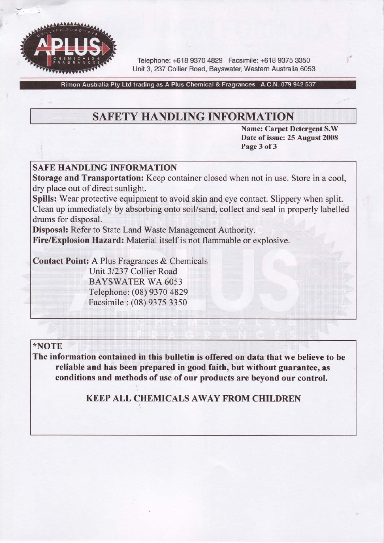

Tefephone: +618 9370 4829 Facsimile: +618 9375 3350 Unit 3, 237 Collier Road, Bayswater, Western Australia 6053

Rimon Australia Pty Ltd trading as A Plus Chemical & Fragrances A.C.N. 079 942 537

# SAFETY HANDLING INFORMATION

Name: Carpet Detergent S.W Date of issue: 25 August 2008 Page 3 of 3

## **SAFE HANDLING INFORMATION**

Storage and Transportation: Keep container closed when not in use. Store in a cool, dry place out of direct sunlight.

Spills: Wear protective equipment to avoid skin and eye contact. Slippery when split. Clean up immediately by absorbing onto soil/sand, collect and seal in properly labelled drums for disposal.

Disposal: Refer to State Land Waste Management Authority.

Fire/Explosion Hazard: Material itself is not flammable or explosive.

Contact Point: A Plus Fragrances & Chemicals Unit 3/237 Collier Road BAYSWATER WA 6053 Telephone: (08) 9370 4329 Facsimile : (08) 9375 3350

### \*NOTE

The information contained in this bulletin is offered on data that we believe to be reliable and has been prepared in good faith, but without guarantee, as conditions and methods of use of our products are beyond our control.

KEEP ALL CHEMICALS AWAY FROM CHILDREN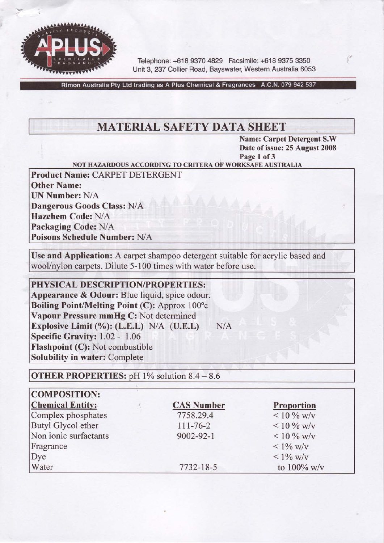

Telephone: +618 9370 4829 Facsimile: +618 9375 3350 Unit 3, 237 Collier Road, Bayswater, Western Australia 6053

Rimon Australia Pty Ltd trading as A Plus Chemical & Fragrances A.C.N. 079 942 537

# **MATERIAL SAFETY DATA SHEET**

Name: Carpet Detergent S.W Date of issue: 25 August 2008 Page 1 of 3

#### NOT HAZARDOUS ACCORDING TO CRITERA OF WORKSAFE AUSTRALIA

Product Name: CARPET DETERGENT Other Name: UN Number: N/A Dangerous Goods Class: N/A Hazchem Code: N/A Packaging Code: N/A Poisons Schedule Number: N/A

Use and Application: A carpet shampoo detergent suitable for acrylic based and wool/nylon carpets. Dilute 5-100 times with water before use.

#### PHYSICAL DESCRIPTION/PROPERTIES:

Appearance & Odour: Blue liquid, spice odour. Boiling Point/Melting Point (C): Approx  $100^{\circ}$ c Vapour Pressure mmHg C: Not determined Explosive Limit  $(\%):$  (L.E.L) N/A (U.E.L) N/A Specific Gravity: 1.02 - 1.06 Flashpoint (C): Not combustible Solubility in water: Complete

**OTHER PROPERTIES:** pH  $1\%$  solution  $8.4 - 8.6$ 

| <b>COMPOSITION:</b>     |                   |                   |
|-------------------------|-------------------|-------------------|
| <b>Chemical Entity:</b> | <b>CAS Number</b> | <b>Proportion</b> |
| Complex phosphates      | 7758.29.4         | $< 10\%$ w/v      |
| Butyl Glycol ether      | $111 - 76 - 2$    | $< 10\%$ w/v      |
| Non ionic surfactants   | 9002-92-1         | $< 10 \%$ w/v     |
| Fragrance               |                   | $< 1\%$ w/v       |
| Dye                     |                   | $< 1\%$ w/v       |
| Water                   | 7732-18-5         | to $100\%$ w/v    |